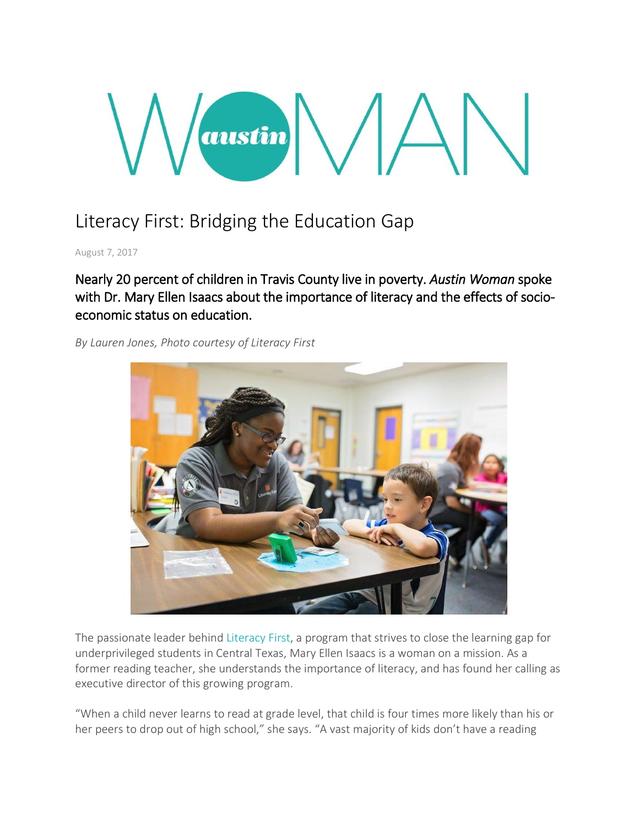# austin  $\bigwedge$

# Literacy First: Bridging the Education Gap

August 7, 2017

Nearly 20 percent of children in Travis County live in poverty. *Austin Woman* spoke with Dr. Mary Ellen Isaacs about the importance of literacy and the effects of socioeconomic status on education.

*By Lauren Jones, Photo courtesy of Literacy First*



The passionate leader behind [Literacy](http://literacyfirst.org/) First, a program that strives to close the learning gap for underprivileged students in Central Texas, Mary Ellen Isaacs is a woman on a mission. As a former reading teacher, she understands the importance of literacy, and has found her calling as executive director of this growing program.

"When a child never learns to read at grade level, that child is four times more likely than his or her peers to drop out of high school," she says. "A vast majority of kids don't have a reading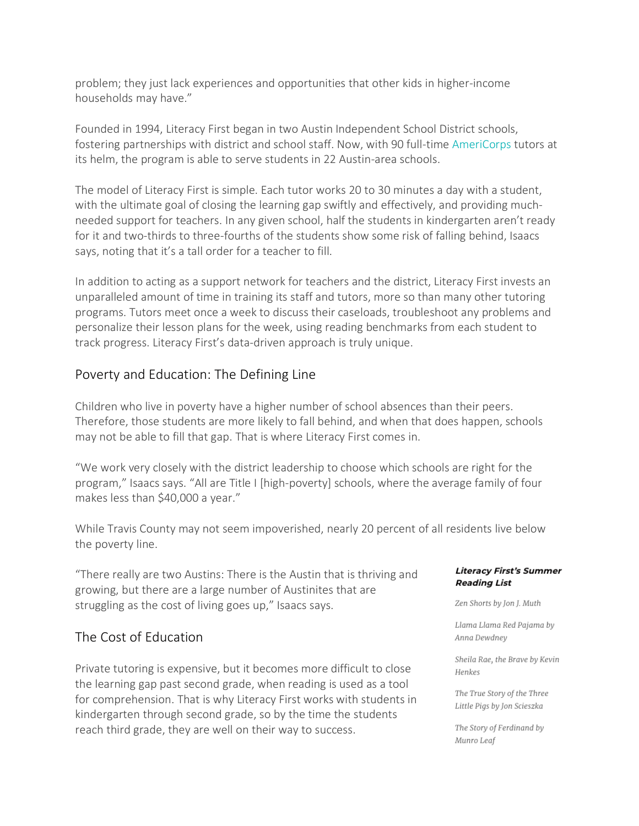problem; they just lack experiences and opportunities that other kids in higher-income households may have."

Founded in 1994, Literacy First began in two Austin Independent School District schools, fostering partnerships with district and school staff. Now, with 90 full-time [AmeriCorps](https://www.nationalservice.gov/programs/americorps) tutors at its helm, the program is able to serve students in 22 Austin-area schools.

The model of Literacy First is simple. Each tutor works 20 to 30 minutes a day with a student, with the ultimate goal of closing the learning gap swiftly and effectively, and providing muchneeded support for teachers. In any given school, half the students in kindergarten aren't ready for it and two-thirds to three-fourths of the students show some risk of falling behind, Isaacs says, noting that it's a tall order for a teacher to fill.

In addition to acting as a support network for teachers and the district, Literacy First invests an unparalleled amount of time in training its staff and tutors, more so than many other tutoring programs. Tutors meet once a week to discuss their caseloads, troubleshoot any problems and personalize their lesson plans for the week, using reading benchmarks from each student to track progress. Literacy First's data-driven approach is truly unique.

## Poverty and Education: The Defining Line

Children who live in poverty have a higher number of school absences than their peers. Therefore, those students are more likely to fall behind, and when that does happen, schools may not be able to fill that gap. That is where Literacy First comes in.

"We work very closely with the district leadership to choose which schools are right for the program," Isaacs says. "All are Title I [high-poverty] schools, where the average family of four makes less than \$40,000 a year."

While Travis County may not seem impoverished, nearly 20 percent of all residents live below the poverty line.

"There really are two Austins: There is the Austin that is thriving and growing, but there are a large number of Austinites that are struggling as the cost of living goes up," Isaacs says.

### The Cost of Education

Private tutoring is expensive, but it becomes more difficult to close the learning gap past second grade, when reading is used as a tool for comprehension. That is why Literacy First works with students in kindergarten through second grade, so by the time the students reach third grade, they are well on their way to success.

### **Literacy First's Summer Reading List**

Zen Shorts by Jon J. Muth

Llama Llama Red Pajama by Anna Dewdney

Sheila Rae, the Brave by Kevin Henkes

The True Story of the Three Little Pigs by Jon Scieszka

The Story of Ferdinand by Munro Leaf